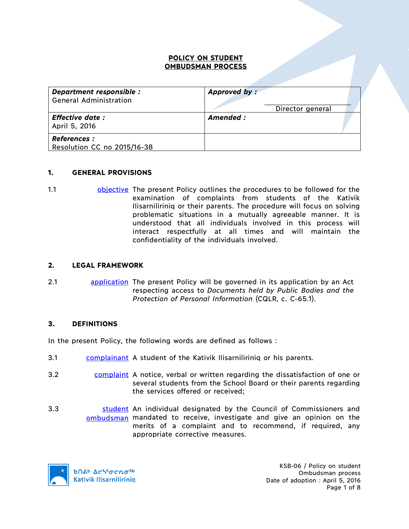### **POLICY ON STUDENT OMBUDSMAN PROCESS**

| Department responsible :<br><b>General Administration</b> | Approved by:<br>Director general |
|-----------------------------------------------------------|----------------------------------|
| <b>Effective date:</b><br>April 5, 2016                   | Amended :                        |
| <b>References :</b><br>Resolution CC no 2015/16-38        |                                  |

### **1. GENERAL PROVISIONS**

1.1 objective The present Policy outlines the procedures to be followed for the examination of complaints from students of the Kativik Ilisarniliriniq or their parents. The procedure will focus on solving problematic situations in a mutually agreeable manner. It is understood that all individuals involved in this process will interact respectfully at all times and will maintain the confidentiality of the individuals involved.

### **2. LEGAL FRAMEWORK**

2.1 **application** The present Policy will be governed in its application by an Act respecting access to *Documents held by Public Bodies and the Protection of Personal Information* (CQLR, c. C-65.1).

### **3. DEFINITIONS**

In the present Policy, the following words are defined as follows :

- 3.1 complainant A student of the Kativik Ilisarniliriniq or his parents.
- 3.2 complaint A notice, verbal or written regarding the dissatisfaction of one or several students from the School Board or their parents regarding the services offered or received;
- 3.3 **Student** An individual designated by the Council of Commissioners and ombudsman mandated to receive, investigate and give an opinion on the merits of a complaint and to recommend, if required, any appropriate corrective measures.



KSB-06 / Policy on student Ombudsman process Date of adoption : April 5, 2016 Page 1 of 8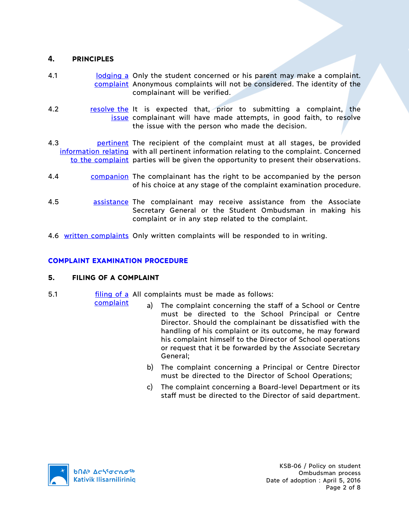## **4. PRINCIPLES**

- 4.1 **Iomography is a contract and a concerned** or his parent may make a complaint. complaint Anonymous complaints will not be considered. The identity of the complainant will be verified.
- 4.2 **resolve the It is expected that, prior to submitting a complaint, the** issue complainant will have made attempts, in good faith, to resolve the issue with the person who made the decision.
- 4.3 **pertinent** The recipient of the complaint must at all stages, be provided information relating with all pertinent information relating to the complaint. Concerned to the complaint parties will be given the opportunity to present their observations.
- 4.4 companion The complainant has the right to be accompanied by the person of his choice at any stage of the complaint examination procedure.
- 4.5 **assistance** The complainant may receive assistance from the Associate Secretary General or the Student Ombudsman in making his complaint or in any step related to the complaint.
- 4.6 written complaints Only written complaints will be responded to in writing.

# **COMPLAINT EXAMINATION PROCEDURE**

## **5. FILING OF A COMPLAINT**

complaint

- 5.1 **filling of a** All complaints must be made as follows:
	- a) The complaint concerning the staff of a School or Centre must be directed to the School Principal or Centre Director. Should the complainant be dissatisfied with the handling of his complaint or its outcome, he may forward his complaint himself to the Director of School operations or request that it be forwarded by the Associate Secretary General;
	- b) The complaint concerning a Principal or Centre Director must be directed to the Director of School Operations;
	- c) The complaint concerning a Board-level Department or its staff must be directed to the Director of said department.

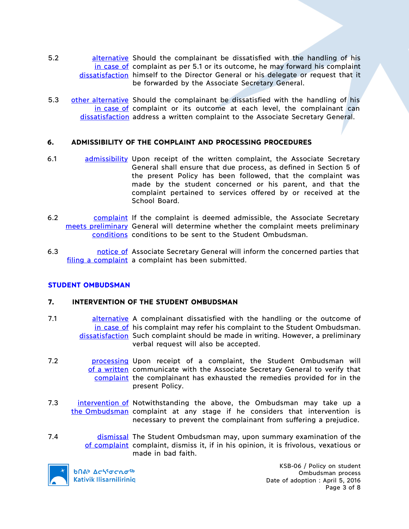- 5.2 **alternative** Should the complainant be dissatisfied with the handling of his in case of complaint as per 5.1 or its outcome, he may forward his complaint dissatisfaction himself to the Director General or his delegate or request that it be forwarded by the Associate Secretary General.
- 5.3 other alternative Should the complainant be dissatisfied with the handling of his in case of complaint or its outcome at each level, the complainant can dissatisfaction address a written complaint to the Associate Secretary General.

### **6. ADMISSIBILITY OF THE COMPLAINT AND PROCESSING PROCEDURES**

- 6.1 admissibility Upon receipt of the written complaint, the Associate Secretary General shall ensure that due process, as defined in Section 5 of the present Policy has been followed, that the complaint was made by the student concerned or his parent, and that the complaint pertained to services offered by or received at the School Board.
- 6.2 **complaint** If the complaint is deemed admissible, the Associate Secretary meets preliminary General will determine whether the complaint meets preliminary conditions conditions to be sent to the Student Ombudsman.
- 6.3 **hotice of Associate Secretary General will inform the concerned parties that** filing a complaint a complaint has been submitted.

## **STUDENT OMBUDSMAN**

### **7. INTERVENTION OF THE STUDENT OMBUDSMAN**

- 7.1 **alternative** A complainant dissatisfied with the handling or the outcome of in case of his complaint may refer his complaint to the Student Ombudsman. dissatisfaction Such complaint should be made in writing. However, a preliminary verbal request will also be accepted.
- 7.2 **processing Upon receipt of a complaint**, the Student Ombudsman will of a written communicate with the Associate Secretary General to verify that complaint the complainant has exhausted the remedies provided for in the present Policy.
- 7.3 intervention of Notwithstanding the above, the Ombudsman may take up a the Ombudsman complaint at any stage if he considers that intervention is necessary to prevent the complainant from suffering a prejudice.
- 7.4 **dismissal The Student Ombudsman may, upon summary examination of the** of complaint complaint, dismiss it, if in his opinion, it is frivolous, vexatious or made in bad faith.



**b**በል<sup>b</sup> Δς<sup>56</sup>σς λο<sup>56</sup> **Kativik Ilisarniliriniq** 

KSB-06 / Policy on student Ombudsman process Date of adoption : April 5, 2016 Page 3 of 8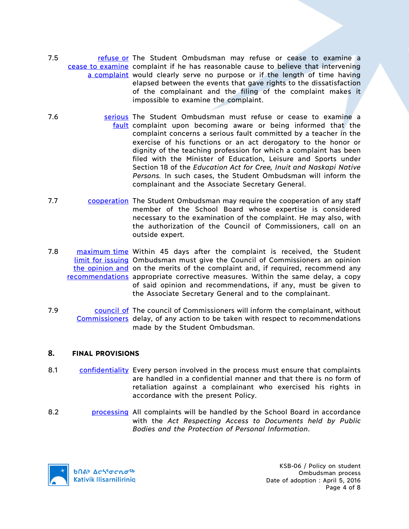- 7.5 **refuse or The Student Ombudsman may refuse or cease to examine a** cease to examine complaint if he has reasonable cause to believe that intervening a complaint would clearly serve no purpose or if the length of time having elapsed between the events that gave rights to the dissatisfaction of the complainant and the filing of the complaint makes it impossible to examine the complaint.
- 7.6 **Source Serious The Student Ombudsman must refuse or cease to examine a** fault complaint upon becoming aware or being informed that the complaint concerns a serious fault committed by a teacher in the exercise of his functions or an act derogatory to the honor or dignity of the teaching profession for which a complaint has been filed with the Minister of Education, Leisure and Sports under Section 18 of the *Education Act for Cree, Inuit and Naskapi Native Persons.* In such cases, the Student Ombudsman will inform the complainant and the Associate Secretary General.
- 7.7 cooperation The Student Ombudsman may require the cooperation of any staff member of the School Board whose expertise is considered necessary to the examination of the complaint. He may also, with the authorization of the Council of Commissioners, call on an outside expert.
- 7.8 **maximum time** Within 45 days after the complaint is received, the Student limit for issuing Ombudsman must give the Council of Commissioners an opinion the opinion and on the merits of the complaint and, if required, recommend any recommendations appropriate corrective measures. Within the same delay, a copy of said opinion and recommendations, if any, must be given to the Associate Secretary General and to the complainant.
- 7.9 **COUNCLEF COUNCLE CONT** COMMISSIONERS WILL Inform the complainant, without Commissioners delay, of any action to be taken with respect to recommendations made by the Student Ombudsman.

## **8. FINAL PROVISIONS**

- 8.1 confidentiality Every person involved in the process must ensure that complaints are handled in a confidential manner and that there is no form of retaliation against a complainant who exercised his rights in accordance with the present Policy.
- 8.2 **processing All complaints will be handled by the School Board in accordance** with the *Act Respecting Access to Documents held by Public Bodies and the Protection of Personal Information*.

**b**Πል<sup>b</sup> Δςιγσς ησ<sup>ς 6</sup> **Kativik Ilisarniliriniq** 

KSB-06 / Policy on student Ombudsman process Date of adoption : April 5, 2016 Page 4 of 8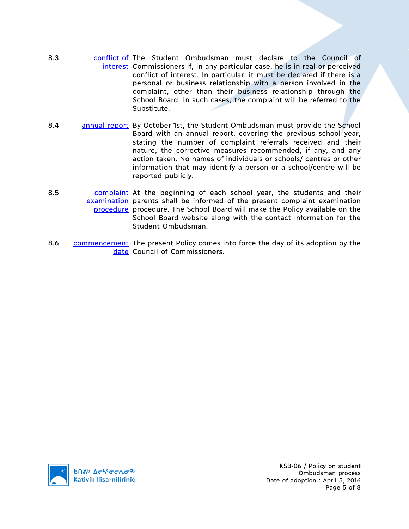- 8.3 conflict of The Student Ombudsman must declare to the Council of interest Commissioners if, in any particular case, he is in real or perceived conflict of interest. In particular, it must be declared if there is a personal or business relationship with a person involved in the complaint, other than their business relationship through the School Board. In such cases, the complaint will be referred to the Substitute.
- 8.4 annual report By October 1st, the Student Ombudsman must provide the School Board with an annual report, covering the previous school year, stating the number of complaint referrals received and their nature, the corrective measures recommended, if any, and any action taken. No names of individuals or schools/ centres or other information that may identify a person or a school/centre will be reported publicly.
- 8.5 complaint At the beginning of each school year, the students and their examination parents shall be informed of the present complaint examination procedure procedure. The School Board will make the Policy available on the School Board website along with the contact information for the Student Ombudsman.
- 8.6 commencement The present Policy comes into force the day of its adoption by the date Council of Commissioners.

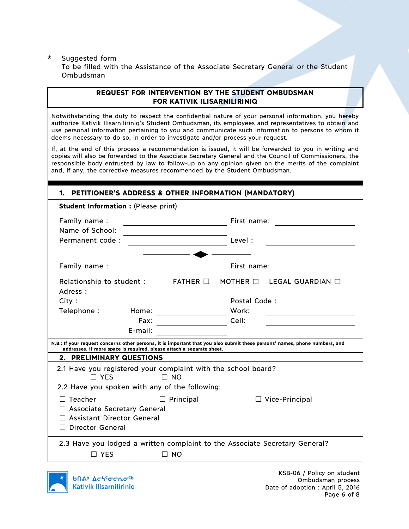### \* Suggested form

To be filled with the Assistance of the Associate Secretary General or the Student Ombudsman

## **REQUEST FOR INTERVENTION BY THE STUDENT OMBUDSMAN FOR KATIVIK ILISARNILIRINIQ**

Notwithstanding the duty to respect the confidential nature of your personal information, you hereby authorize Kativik Ilisarniliriniq's Student Ombudsman, its employees and representatives to obtain and use personal information pertaining to you and communicate such information to persons to whom it deems necessary to do so, in order to investigate and/or process your request.

If, at the end of this process a recommendation is issued, it will be forwarded to you in writing and copies will also be forwarded to the Associate Secretary General and the Council of Commissioners, the responsible body entrusted by law to follow-up on any opinion given on the merits of the complaint and, if any, the corrective measures recommended by the Student Ombudsman.

## **1. PETITIONER'S ADDRESS & OTHER INFORMATION (MANDATORY)**

| <b>Student Information : (Please print)</b>                                                                                                                                                          |                 |               |                                                   |  |
|------------------------------------------------------------------------------------------------------------------------------------------------------------------------------------------------------|-----------------|---------------|---------------------------------------------------|--|
| Family name:                                                                                                                                                                                         |                 |               | First name:                                       |  |
| Name of School:                                                                                                                                                                                      |                 |               |                                                   |  |
| Permanent code:                                                                                                                                                                                      |                 | Level:        |                                                   |  |
|                                                                                                                                                                                                      |                 |               |                                                   |  |
| Family name:                                                                                                                                                                                         |                 |               | First name:                                       |  |
| Relationship to student :<br>Adress:                                                                                                                                                                 | $FATHER$ $\Box$ | MOTHER $\Box$ | LEGAL GUARDIAN $\Box$                             |  |
| City:                                                                                                                                                                                                |                 |               | Postal Code:                                      |  |
| Telephone:<br>Home:                                                                                                                                                                                  |                 | Work:         | <u> 1989 - Johann Barnett, fransk politiker (</u> |  |
| Fax:                                                                                                                                                                                                 |                 | Cell:         |                                                   |  |
| $E$ -mail:                                                                                                                                                                                           |                 |               |                                                   |  |
| N.B.: If your request concerns other persons, it is important that you also submit these persons' names, phone numbers, and<br>addresses. If more space is required, please attach a separate sheet. |                 |               |                                                   |  |
| 2. PRELIMINARY QUESTIONS                                                                                                                                                                             |                 |               |                                                   |  |
| 2.1 Have you registered your complaint with the school board?<br>$\Box$ YFS                                                                                                                          | $\Box$ NO       |               |                                                   |  |
| 2.2 Have you spoken with any of the following:                                                                                                                                                       |                 |               |                                                   |  |
| Teacher                                                                                                                                                                                              | Principal       |               | $\Box$ Vice-Principal                             |  |
| <b>Associate Secretary General</b>                                                                                                                                                                   |                 |               |                                                   |  |
| <b>Assistant Director General</b>                                                                                                                                                                    |                 |               |                                                   |  |
| <b>Director General</b>                                                                                                                                                                              |                 |               |                                                   |  |
| 2.3 Have you lodged a written complaint to the Associate Secretary General?                                                                                                                          |                 |               |                                                   |  |
| <b>YES</b>                                                                                                                                                                                           | <b>NO</b>       |               |                                                   |  |
|                                                                                                                                                                                                      |                 |               |                                                   |  |